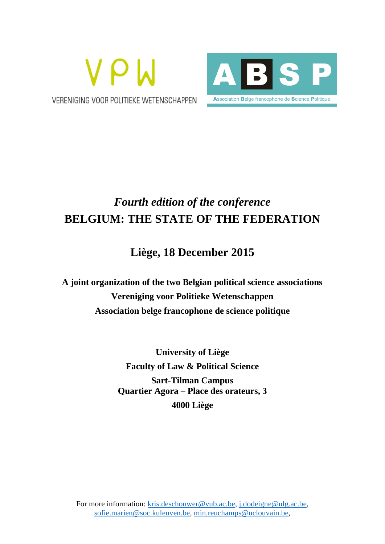



# *Fourth edition of the conference* **BELGIUM: THE STATE OF THE FEDERATION**

## **Liège, 18 December 2015**

**A joint organization of the two Belgian political science associations Vereniging voor Politieke Wetenschappen Association belge francophone de science politique**

> **University of Liège Faculty of Law & Political Science Sart-Tilman Campus Quartier Agora – Place des orateurs, 3 4000 Liège**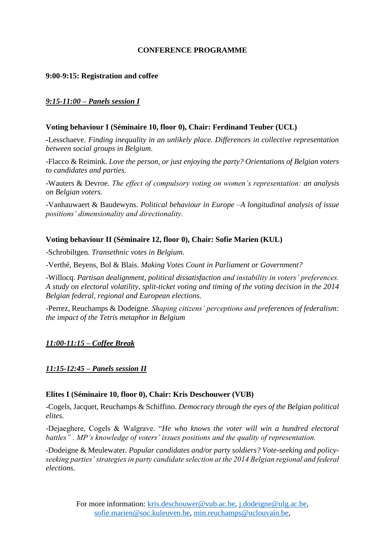## **CONFERENCE PROGRAMME**

## **9:00-9:15: Registration and coffee**

## *9:15-11:00 – Panels session I*

### **Voting behaviour I (Séminaire 10, floor 0), Chair: Ferdinand Teuber (UCL)**

**-**Lesschaeve. *Finding inequality in an unlikely place. Differences in collective representation between social groups in Belgium*.

-Flacco & Reimink. *Love the person, or just enjoying the party? Orientations of Belgian voters to candidates and parties.*

-Wauters & Devroe. *The effect of compulsory voting on women's representation: an analysis on Belgian voters.*

-Vanhauwaert & Baudewyns. *Political behaviour in Europe –A longitudinal analysis of issue positions' dimensionality and directionality.*

## **Voting behaviour II (Séminaire 12, floor 0), Chair: Sofie Marien (KUL)**

-Schrobiltgen. *Transethnic votes in Belgium.*

-Verthé, Beyens, Bol & Blais. *Making Votes Count in Parliament or Government?*

-Willocq. *Partisan dealignment, political dissatisfaction and instability in voters' preferences. A study on electoral volatility, split-ticket voting and timing of the voting decision in the 2014 Belgian federal, regional and European elections.*

-Perrez, Reuchamps & Dodeigne. *Shaping citizens' perceptions and preferences of federalism: the impact of the Tetris metaphor in Belgium*

*11:00-11:15 – Coffee Break* 

#### *11:15-12:45 – Panels session II*

#### **Elites I (Séminaire 10, floor 0), Chair: Kris Deschouwer (VUB)**

-Cogels, Jacquet, Reuchamps & Schiffino. *Democracy through the eyes of the Belgian political elites.*

-Dejaeghere, Cogels & Walgrave. "*He who knows the voter will win a hundred electoral battles" . MP's knowledge of voters' issues positions and the quality of representation.*

-Dodeigne & Meulewater*. Popular candidates and/or party soldiers? Vote-seeking and policyseeking parties' strategies in party candidate selection at the 2014 Belgian regional and federal elections.*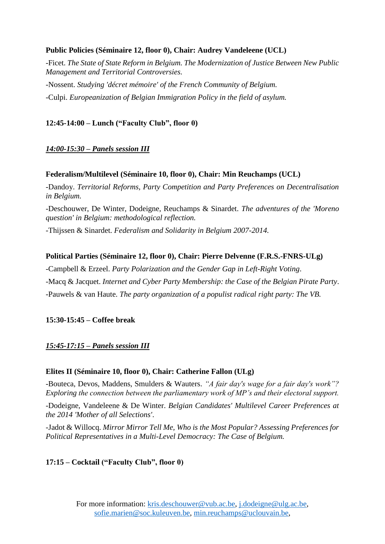## **Public Policies (Séminaire 12, floor 0), Chair: Audrey Vandeleene (UCL)**

-Ficet. *The State of State Reform in Belgium. The Modernization of Justice Between New Public Management and Territorial Controversies.* -Nossent. *Studying 'décret mémoire' of the French Community of Belgium.*

-Culpi. *Europeanization of Belgian Immigration Policy in the field of asylum.*

## **12:45-14:00 – Lunch ("Faculty Club", floor 0)**

## *14:00-15:30 – Panels session III*

## **Federalism/Multilevel (Séminaire 10, floor 0), Chair: Min Reuchamps (UCL)**

-Dandoy. *Territorial Reforms, Party Competition and Party Preferences on Decentralisation in Belgium.*

-Deschouwer, De Winter, Dodeigne, Reuchamps & Sinardet. *The adventures of the 'Moreno question' in Belgium: methodological reflection.*

-Thijssen & Sinardet. *Federalism and Solidarity in Belgium 2007-2014.*

## **Political Parties (Séminaire 12, floor 0), Chair: Pierre Delvenne (F.R.S.-FNRS-ULg)**

-Campbell & Erzeel. *Party Polarization and the Gender Gap in Left-Right Voting*.

-Macq & Jacquet. *Internet and Cyber Party Membership: the Case of the Belgian Pirate Party*. -Pauwels & van Haute. *The party organization of a populist radical right party: The VB.*

## **15:30-15:45 – Coffee break**

## *15:45-17:15 – Panels session III*

## **Elites II (Séminaire 10, floor 0), Chair: Catherine Fallon (ULg)**

-Bouteca, Devos, Maddens, Smulders & Wauters. *"A fair day's wage for a fair day's work"? Exploring the connection between the parliamentary work of MP's and their electoral support.*

-Dodeigne, Vandeleene & De Winter. *Belgian Candidates' Multilevel Career Preferences at the 2014 'Mother of all Selections'*.

-Jadot & Willocq. *Mirror Mirror Tell Me, Who is the Most Popular? Assessing Preferences for Political Representatives in a Multi-Level Democracy: The Case of Belgium.*

## **17:15 – Cocktail ("Faculty Club", floor 0)**